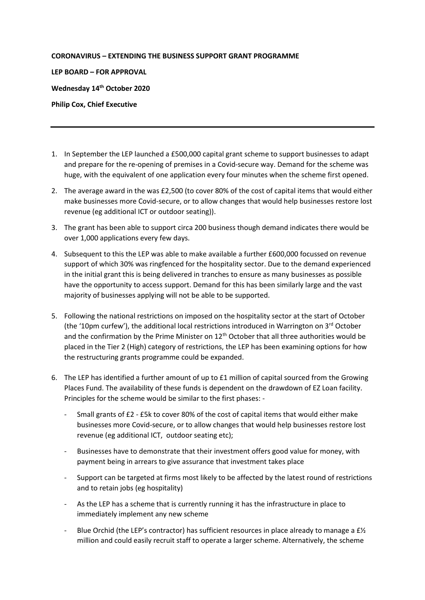## **CORONAVIRUS – EXTENDING THE BUSINESS SUPPORT GRANT PROGRAMME**

**LEP BOARD – FOR APPROVAL**

**Wednesday 14th October 2020**

**Philip Cox, Chief Executive**

- 1. In September the LEP launched a £500,000 capital grant scheme to support businesses to adapt and prepare for the re-opening of premises in a Covid-secure way. Demand for the scheme was huge, with the equivalent of one application every four minutes when the scheme first opened.
- 2. The average award in the was £2,500 (to cover 80% of the cost of capital items that would either make businesses more Covid-secure, or to allow changes that would help businesses restore lost revenue (eg additional ICT or outdoor seating)).
- 3. The grant has been able to support circa 200 business though demand indicates there would be over 1,000 applications every few days.
- 4. Subsequent to this the LEP was able to make available a further £600,000 focussed on revenue support of which 30% was ringfenced for the hospitality sector. Due to the demand experienced in the initial grant this is being delivered in tranches to ensure as many businesses as possible have the opportunity to access support. Demand for this has been similarly large and the vast majority of businesses applying will not be able to be supported.
- 5. Following the national restrictions on imposed on the hospitality sector at the start of October (the '10pm curfew'), the additional local restrictions introduced in Warrington on  $3<sup>rd</sup>$  October and the confirmation by the Prime Minister on  $12<sup>th</sup>$  October that all three authorities would be placed in the Tier 2 (High) category of restrictions, the LEP has been examining options for how the restructuring grants programme could be expanded.
- 6. The LEP has identified a further amount of up to £1 million of capital sourced from the Growing Places Fund. The availability of these funds is dependent on the drawdown of EZ Loan facility. Principles for the scheme would be similar to the first phases: -
	- Small grants of £2 £5k to cover 80% of the cost of capital items that would either make businesses more Covid-secure, or to allow changes that would help businesses restore lost revenue (eg additional ICT, outdoor seating etc);
	- Businesses have to demonstrate that their investment offers good value for money, with payment being in arrears to give assurance that investment takes place
	- Support can be targeted at firms most likely to be affected by the latest round of restrictions and to retain jobs (eg hospitality)
	- As the LEP has a scheme that is currently running it has the infrastructure in place to immediately implement any new scheme
	- Blue Orchid (the LEP's contractor) has sufficient resources in place already to manage a  $E\frac{1}{2}$ million and could easily recruit staff to operate a larger scheme. Alternatively, the scheme